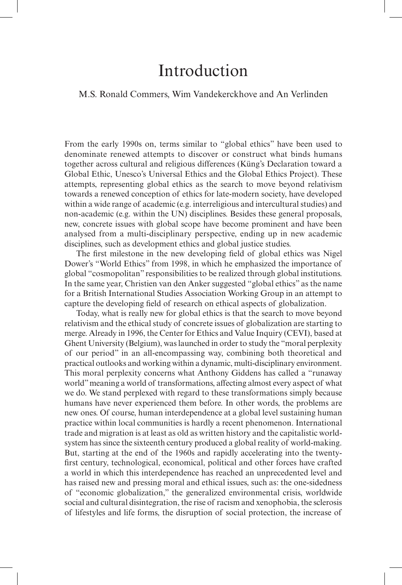# M.S. Ronald Commers, Wim Vandekerckhove and An Verlinden

From the early 1990s on, terms similar to "global ethics" have been used to denominate renewed attempts to discover or construct what binds humans together across cultural and religious differences (Küng's Declaration toward a Global Ethic, Unesco's Universal Ethics and the Global Ethics Project). These attempts, representing global ethics as the search to move beyond relativism towards a renewed conception of ethics for late-modern society, have developed within a wide range of academic (e.g. interreligious and intercultural studies) and non-academic (e.g. within the UN) disciplines. Besides these general proposals, new, concrete issues with global scope have become prominent and have been analysed from a multi-disciplinary perspective, ending up in new academic disciplines, such as development ethics and global justice studies.

The first milestone in the new developing field of global ethics was Nigel Dower's "World Ethics" from 1998, in which he emphasized the importance of global "cosmopolitan" responsibilities to be realized through global institutions. In the same year, Christien van den Anker suggested "global ethics" as the name for a British International Studies Association Working Group in an attempt to capture the developing field of research on ethical aspects of globalization.

Today, what is really new for global ethics is that the search to move beyond relativism and the ethical study of concrete issues of globalization are starting to merge. Already in 1996, the Center for Ethics and Value Inquiry (CEVI), based at Ghent University (Belgium), was launched in order to study the "moral perplexity of our period" in an all-encompassing way, combining both theoretical and practical outlooks and working within a dynamic, multi-disciplinary environment. This moral perplexity concerns what Anthony Giddens has called a "runaway world" meaning a world of transformations, affecting almost every aspect of what we do. We stand perplexed with regard to these transformations simply because humans have never experienced them before. In other words, the problems are new ones. Of course, human interdependence at a global level sustaining human practice within local communities is hardly a recent phenomenon. International trade and migration is at least as old as written history and the capitalistic worldsystem has since the sixteenth century produced a global reality of world-making. But, starting at the end of the 1960s and rapidly accelerating into the twentyfirst century, technological, economical, political and other forces have crafted a world in which this interdependence has reached an unprecedented level and has raised new and pressing moral and ethical issues, such as: the one-sidedness of "economic globalization," the generalized environmental crisis, worldwide social and cultural disintegration, the rise of racism and xenophobia, the sclerosis of lifestyles and life forms, the disruption of social protection, the increase of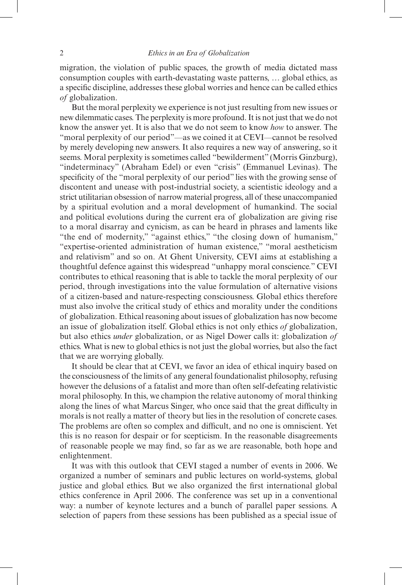migration, the violation of public spaces, the growth of media dictated mass consumption couples with earth-devastating waste patterns, … global ethics, as a specific discipline, addresses these global worries and hence can be called ethics *of* globalization.

But the moral perplexity we experience is not just resulting from new issues or new dilemmatic cases. The perplexity is more profound. It is not just that we do not know the answer yet. It is also that we do not seem to know *how* to answer. The "moral perplexity of our period"—as we coined it at CEVI—cannot be resolved by merely developing new answers. It also requires a new way of answering, so it seems. Moral perplexity is sometimes called "bewilderment" (Morris Ginzburg), "indeterminacy" (Abraham Edel) or even "crisis" (Emmanuel Levinas). The specificity of the "moral perplexity of our period" lies with the growing sense of discontent and unease with post-industrial society, a scientistic ideology and a strict utilitarian obsession of narrow material progress, all of these unaccompanied by a spiritual evolution and a moral development of humankind. The social and political evolutions during the current era of globalization are giving rise to a moral disarray and cynicism, as can be heard in phrases and laments like "the end of modernity," "against ethics," "the closing down of humanism," "expertise-oriented administration of human existence," "moral aestheticism and relativism" and so on. At Ghent University, CEVI aims at establishing a thoughtful defence against this widespread "unhappy moral conscience." CEVI contributes to ethical reasoning that is able to tackle the moral perplexity of our period, through investigations into the value formulation of alternative visions of a citizen-based and nature-respecting consciousness. Global ethics therefore must also involve the critical study of ethics and morality under the conditions of globalization. Ethical reasoning about issues of globalization has now become an issue of globalization itself. Global ethics is not only ethics *of* globalization, but also ethics *under* globalization, or as Nigel Dower calls it: globalization *of*  ethics. What is new to global ethics is not just the global worries, but also the fact that we are worrying globally.

It should be clear that at CEVI, we favor an idea of ethical inquiry based on the consciousness of the limits of any general foundationalist philosophy, refusing however the delusions of a fatalist and more than often self-defeating relativistic moral philosophy. In this, we champion the relative autonomy of moral thinking along the lines of what Marcus Singer, who once said that the great difficulty in morals is not really a matter of theory but lies in the resolution of concrete cases. The problems are often so complex and difficult, and no one is omniscient. Yet this is no reason for despair or for scepticism. In the reasonable disagreements of reasonable people we may find, so far as we are reasonable, both hope and enlightenment.

It was with this outlook that CEVI staged a number of events in 2006. We organized a number of seminars and public lectures on world-systems, global justice and global ethics. But we also organized the first international global ethics conference in April 2006. The conference was set up in a conventional way: a number of keynote lectures and a bunch of parallel paper sessions. A selection of papers from these sessions has been published as a special issue of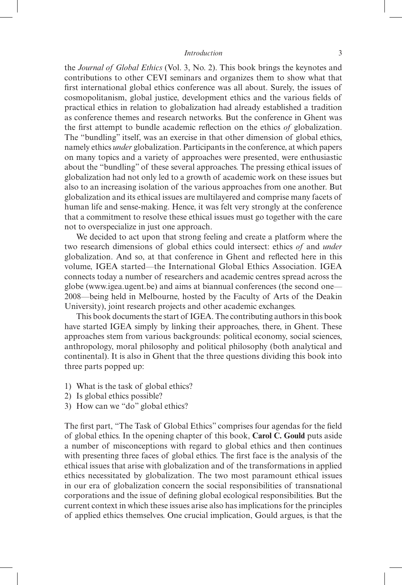the *Journal of Global Ethics* (Vol. 3, No. 2). This book brings the keynotes and contributions to other CEVI seminars and organizes them to show what that first international global ethics conference was all about. Surely, the issues of cosmopolitanism, global justice, development ethics and the various fields of practical ethics in relation to globalization had already established a tradition as conference themes and research networks. But the conference in Ghent was the first attempt to bundle academic reflection on the ethics *of* globalization. The "bundling" itself, was an exercise in that other dimension of global ethics, namely ethics *under* globalization. Participants in the conference, at which papers on many topics and a variety of approaches were presented, were enthusiastic about the "bundling" of these several approaches. The pressing ethical issues of globalization had not only led to a growth of academic work on these issues but also to an increasing isolation of the various approaches from one another. But globalization and its ethical issues are multilayered and comprise many facets of human life and sense-making. Hence, it was felt very strongly at the conference that a commitment to resolve these ethical issues must go together with the care not to overspecialize in just one approach.

We decided to act upon that strong feeling and create a platform where the two research dimensions of global ethics could intersect: ethics *of* and *under* globalization. And so, at that conference in Ghent and reflected here in this volume, IGEA started—the International Global Ethics Association. IGEA connects today a number of researchers and academic centres spread across the globe (www.igea.ugent.be) and aims at biannual conferences (the second one— 2008—being held in Melbourne, hosted by the Faculty of Arts of the Deakin University), joint research projects and other academic exchanges.

This book documents the start of IGEA. The contributing authors in this book have started IGEA simply by linking their approaches, there, in Ghent. These approaches stem from various backgrounds: political economy, social sciences, anthropology, moral philosophy and political philosophy (both analytical and continental). It is also in Ghent that the three questions dividing this book into three parts popped up:

- 1) What is the task of global ethics?
- 2) Is global ethics possible?
- 3) How can we "do" global ethics?

The first part, "The Task of Global Ethics" comprises four agendas for the field of global ethics. In the opening chapter of this book, **Carol C. Gould** puts aside a number of misconceptions with regard to global ethics and then continues with presenting three faces of global ethics. The first face is the analysis of the ethical issues that arise with globalization and of the transformations in applied ethics necessitated by globalization. The two most paramount ethical issues in our era of globalization concern the social responsibilities of transnational corporations and the issue of defining global ecological responsibilities. But the current context in which these issues arise also has implications for the principles of applied ethics themselves. One crucial implication, Gould argues, is that the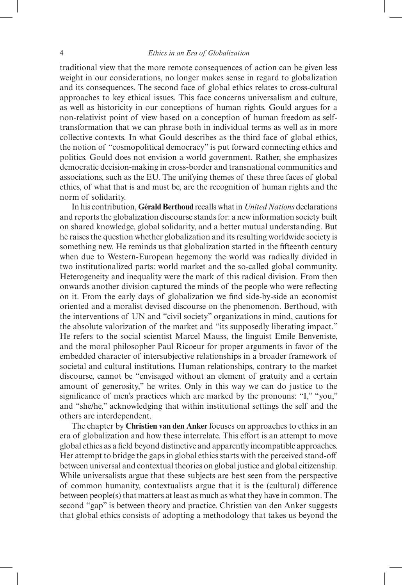traditional view that the more remote consequences of action can be given less weight in our considerations, no longer makes sense in regard to globalization and its consequences. The second face of global ethics relates to cross-cultural approaches to key ethical issues. This face concerns universalism and culture, as well as historicity in our conceptions of human rights. Gould argues for a non-relativist point of view based on a conception of human freedom as selftransformation that we can phrase both in individual terms as well as in more collective contexts. In what Gould describes as the third face of global ethics, the notion of "cosmopolitical democracy" is put forward connecting ethics and politics. Gould does not envision a world government. Rather, she emphasizes democratic decision-making in cross-border and transnational communities and associations, such as the EU. The unifying themes of these three faces of global ethics, of what that is and must be, are the recognition of human rights and the norm of solidarity.

In his contribution, **Gérald Berthoud** recalls what in *United Nations* declarations and reports the globalization discourse stands for: a new information society built on shared knowledge, global solidarity, and a better mutual understanding. But he raises the question whether globalization and its resulting worldwide society is something new. He reminds us that globalization started in the fifteenth century when due to Western-European hegemony the world was radically divided in two institutionalized parts: world market and the so-called global community. Heterogeneity and inequality were the mark of this radical division. From then onwards another division captured the minds of the people who were reflecting on it. From the early days of globalization we find side-by-side an economist oriented and a moralist devised discourse on the phenomenon. Berthoud, with the interventions of UN and "civil society" organizations in mind, cautions for the absolute valorization of the market and "its supposedly liberating impact." He refers to the social scientist Marcel Mauss, the linguist Emile Benveniste, and the moral philosopher Paul Ricoeur for proper arguments in favor of the embedded character of intersubjective relationships in a broader framework of societal and cultural institutions. Human relationships, contrary to the market discourse, cannot be "envisaged without an element of gratuity and a certain amount of generosity," he writes. Only in this way we can do justice to the significance of men's practices which are marked by the pronouns: "I," "you," and "she/he," acknowledging that within institutional settings the self and the others are interdependent.

The chapter by **Christien van den Anker** focuses on approaches to ethics in an era of globalization and how these interrelate. This effort is an attempt to move global ethics as a field beyond distinctive and apparently incompatible approaches. Her attempt to bridge the gaps in global ethics starts with the perceived stand-off between universal and contextual theories on global justice and global citizenship. While universalists argue that these subjects are best seen from the perspective of common humanity, contextualists argue that it is the (cultural) difference between people(s) that matters at least as much as what they have in common. The second "gap" is between theory and practice. Christien van den Anker suggests that global ethics consists of adopting a methodology that takes us beyond the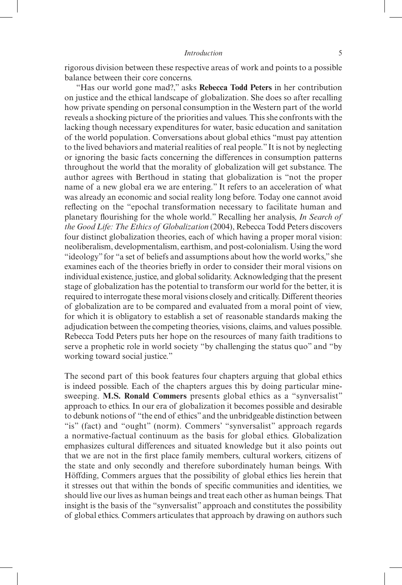rigorous division between these respective areas of work and points to a possible balance between their core concerns.

"Has our world gone mad?," asks **Rebecca Todd Peters** in her contribution on justice and the ethical landscape of globalization. She does so after recalling how private spending on personal consumption in the Western part of the world reveals a shocking picture of the priorities and values. This she confronts with the lacking though necessary expenditures for water, basic education and sanitation of the world population. Conversations about global ethics "must pay attention to the lived behaviors and material realities of real people." It is not by neglecting or ignoring the basic facts concerning the differences in consumption patterns throughout the world that the morality of globalization will get substance. The author agrees with Berthoud in stating that globalization is "not the proper name of a new global era we are entering." It refers to an acceleration of what was already an economic and social reality long before. Today one cannot avoid reflecting on the "epochal transformation necessary to facilitate human and planetary flourishing for the whole world." Recalling her analysis, *In Search of the Good Life: The Ethics of Globalization* (2004), Rebecca Todd Peters discovers four distinct globalization theories, each of which having a proper moral vision: neoliberalism, developmentalism, earthism, and post-colonialism. Using the word "ideology" for "a set of beliefs and assumptions about how the world works," she examines each of the theories briefly in order to consider their moral visions on individual existence, justice, and global solidarity. Acknowledging that the present stage of globalization has the potential to transform our world for the better, it is required to interrogate these moral visions closely and critically. Different theories of globalization are to be compared and evaluated from a moral point of view, for which it is obligatory to establish a set of reasonable standards making the adjudication between the competing theories, visions, claims, and values possible. Rebecca Todd Peters puts her hope on the resources of many faith traditions to serve a prophetic role in world society "by challenging the status quo" and "by working toward social justice."

The second part of this book features four chapters arguing that global ethics is indeed possible. Each of the chapters argues this by doing particular minesweeping. **M.S. Ronald Commers** presents global ethics as a "synversalist" approach to ethics. In our era of globalization it becomes possible and desirable to debunk notions of "the end of ethics" and the unbridgeable distinction between "is" (fact) and "ought" (norm). Commers' "synversalist" approach regards a normative-factual continuum as the basis for global ethics. Globalization emphasizes cultural differences and situated knowledge but it also points out that we are not in the first place family members, cultural workers, citizens of the state and only secondly and therefore subordinately human beings. With Höffding, Commers argues that the possibility of global ethics lies herein that it stresses out that within the bonds of specific communities and identities, we should live our lives as human beings and treat each other as human beings. That insight is the basis of the "synversalist" approach and constitutes the possibility of global ethics. Commers articulates that approach by drawing on authors such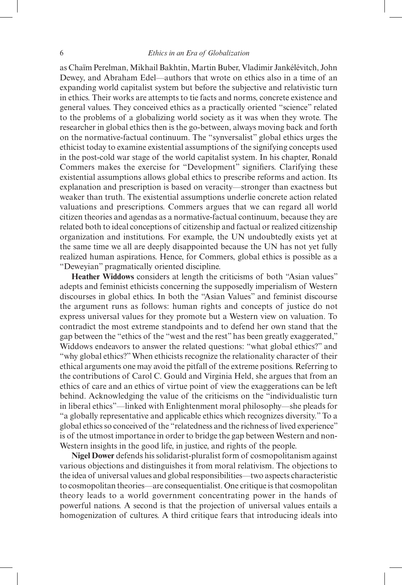as Chaïm Perelman, Mikhail Bakhtin, Martin Buber, Vladimir Jankélévitch, John Dewey, and Abraham Edel—authors that wrote on ethics also in a time of an expanding world capitalist system but before the subjective and relativistic turn in ethics. Their works are attempts to tie facts and norms, concrete existence and general values. They conceived ethics as a practically oriented "science" related to the problems of a globalizing world society as it was when they wrote. The researcher in global ethics then is the go-between, always moving back and forth on the normative-factual continuum. The "synversalist" global ethics urges the ethicist today to examine existential assumptions of the signifying concepts used in the post-cold war stage of the world capitalist system. In his chapter, Ronald Commers makes the exercise for "Development" signifiers. Clarifying these existential assumptions allows global ethics to prescribe reforms and action. Its explanation and prescription is based on veracity—stronger than exactness but weaker than truth. The existential assumptions underlie concrete action related valuations and prescriptions. Commers argues that we can regard all world citizen theories and agendas as a normative-factual continuum, because they are related both to ideal conceptions of citizenship and factual or realized citizenship organization and institutions. For example, the UN undoubtedly exists yet at the same time we all are deeply disappointed because the UN has not yet fully realized human aspirations. Hence, for Commers, global ethics is possible as a "Deweyian" pragmatically oriented discipline.

**Heather Widdows** considers at length the criticisms of both "Asian values" adepts and feminist ethicists concerning the supposedly imperialism of Western discourses in global ethics. In both the "Asian Values" and feminist discourse the argument runs as follows: human rights and concepts of justice do not express universal values for they promote but a Western view on valuation. To contradict the most extreme standpoints and to defend her own stand that the gap between the "ethics of the "west and the rest" has been greatly exaggerated," Widdows endeavors to answer the related questions: "what global ethics?" and "why global ethics?" When ethicists recognize the relationality character of their ethical arguments one may avoid the pitfall of the extreme positions. Referring to the contributions of Carol C. Gould and Virginia Held, she argues that from an ethics of care and an ethics of virtue point of view the exaggerations can be left behind. Acknowledging the value of the criticisms on the "individualistic turn in liberal ethics"—linked with Enlightenment moral philosophy—she pleads for "a globally representative and applicable ethics which recognizes diversity." To a global ethics so conceived of the "relatedness and the richness of lived experience" is of the utmost importance in order to bridge the gap between Western and non-Western insights in the good life, in justice, and rights of the people.

**Nigel Dower** defends his solidarist-pluralist form of cosmopolitanism against various objections and distinguishes it from moral relativism. The objections to the idea of universal values and global responsibilities—two aspects characteristic to cosmopolitan theories—are consequentialist. One critique is that cosmopolitan theory leads to a world government concentrating power in the hands of powerful nations. A second is that the projection of universal values entails a homogenization of cultures. A third critique fears that introducing ideals into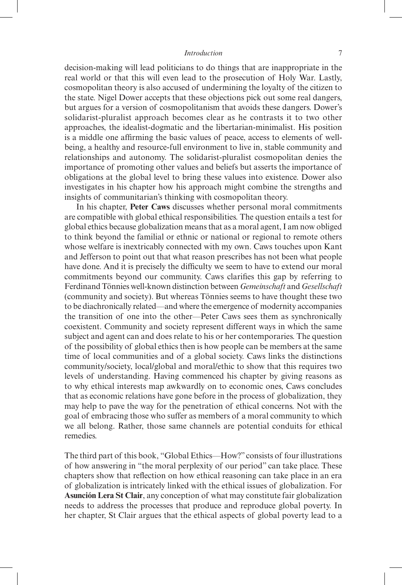decision-making will lead politicians to do things that are inappropriate in the real world or that this will even lead to the prosecution of Holy War. Lastly, cosmopolitan theory is also accused of undermining the loyalty of the citizen to the state. Nigel Dower accepts that these objections pick out some real dangers, but argues for a version of cosmopolitanism that avoids these dangers. Dower's solidarist-pluralist approach becomes clear as he contrasts it to two other approaches, the idealist-dogmatic and the libertarian-minimalist. His position is a middle one affirming the basic values of peace, access to elements of wellbeing, a healthy and resource-full environment to live in, stable community and relationships and autonomy. The solidarist-pluralist cosmopolitan denies the importance of promoting other values and beliefs but asserts the importance of obligations at the global level to bring these values into existence. Dower also investigates in his chapter how his approach might combine the strengths and insights of communitarian's thinking with cosmopolitan theory.

In his chapter, **Peter Caws** discusses whether personal moral commitments are compatible with global ethical responsibilities. The question entails a test for global ethics because globalization means that as a moral agent, I am now obliged to think beyond the familial or ethnic or national or regional to remote others whose welfare is inextricably connected with my own. Caws touches upon Kant and Jefferson to point out that what reason prescribes has not been what people have done. And it is precisely the difficulty we seem to have to extend our moral commitments beyond our community. Caws clarifies this gap by referring to Ferdinand Tönnies well-known distinction between *Gemeinschaft* and *Gesellschaft* (community and society). But whereas Tönnies seems to have thought these two to be diachronically related—and where the emergence of modernity accompanies the transition of one into the other—Peter Caws sees them as synchronically coexistent. Community and society represent different ways in which the same subject and agent can and does relate to his or her contemporaries. The question of the possibility of global ethics then is how people can be members at the same time of local communities and of a global society. Caws links the distinctions community/society, local/global and moral/ethic to show that this requires two levels of understanding. Having commenced his chapter by giving reasons as to why ethical interests map awkwardly on to economic ones, Caws concludes that as economic relations have gone before in the process of globalization, they may help to pave the way for the penetration of ethical concerns. Not with the goal of embracing those who suffer as members of a moral community to which we all belong. Rather, those same channels are potential conduits for ethical remedies.

The third part of this book, "Global Ethics—How?" consists of four illustrations of how answering in "the moral perplexity of our period" can take place. These chapters show that reflection on how ethical reasoning can take place in an era of globalization is intricately linked with the ethical issues of globalization. For **Asunción Lera St Clair**, any conception of what may constitute fair globalization needs to address the processes that produce and reproduce global poverty. In her chapter, St Clair argues that the ethical aspects of global poverty lead to a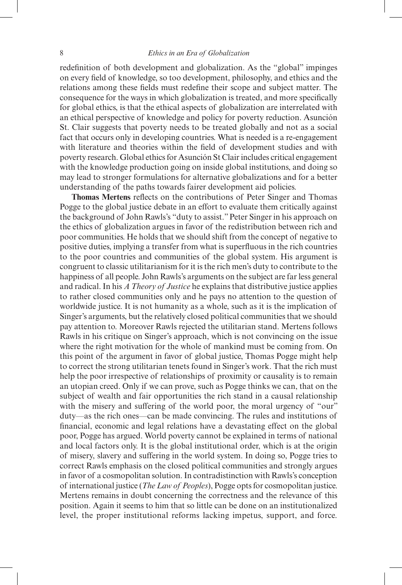redefinition of both development and globalization. As the "global" impinges on every field of knowledge, so too development, philosophy, and ethics and the relations among these fields must redefine their scope and subject matter. The consequence for the ways in which globalization is treated, and more specifically for global ethics, is that the ethical aspects of globalization are interrelated with an ethical perspective of knowledge and policy for poverty reduction. Asunción St. Clair suggests that poverty needs to be treated globally and not as a social fact that occurs only in developing countries. What is needed is a re-engagement with literature and theories within the field of development studies and with poverty research. Global ethics for Asunción St Clair includes critical engagement with the knowledge production going on inside global institutions, and doing so may lead to stronger formulations for alternative globalizations and for a better understanding of the paths towards fairer development aid policies.

**Thomas Mertens** reflects on the contributions of Peter Singer and Thomas Pogge to the global justice debate in an effort to evaluate them critically against the background of John Rawls's "duty to assist." Peter Singer in his approach on the ethics of globalization argues in favor of the redistribution between rich and poor communities. He holds that we should shift from the concept of negative to positive duties, implying a transfer from what is superfluous in the rich countries to the poor countries and communities of the global system. His argument is congruent to classic utilitarianism for it is the rich men's duty to contribute to the happiness of all people. John Rawls's arguments on the subject are far less general and radical. In his *A Theory of Justice* he explains that distributive justice applies to rather closed communities only and he pays no attention to the question of worldwide justice. It is not humanity as a whole, such as it is the implication of Singer's arguments, but the relatively closed political communities that we should pay attention to. Moreover Rawls rejected the utilitarian stand. Mertens follows Rawls in his critique on Singer's approach, which is not convincing on the issue where the right motivation for the whole of mankind must be coming from. On this point of the argument in favor of global justice, Thomas Pogge might help to correct the strong utilitarian tenets found in Singer's work. That the rich must help the poor irrespective of relationships of proximity or causality is to remain an utopian creed. Only if we can prove, such as Pogge thinks we can, that on the subject of wealth and fair opportunities the rich stand in a causal relationship with the misery and suffering of the world poor, the moral urgency of "our" duty—as the rich ones—can be made convincing. The rules and institutions of financial, economic and legal relations have a devastating effect on the global poor, Pogge has argued. World poverty cannot be explained in terms of national and local factors only. It is the global institutional order, which is at the origin of misery, slavery and suffering in the world system. In doing so, Pogge tries to correct Rawls emphasis on the closed political communities and strongly argues in favor of a cosmopolitan solution. In contradistinction with Rawls's conception of international justice (*The Law of Peoples*), Pogge opts for cosmopolitan justice. Mertens remains in doubt concerning the correctness and the relevance of this position. Again it seems to him that so little can be done on an institutionalized level, the proper institutional reforms lacking impetus, support, and force.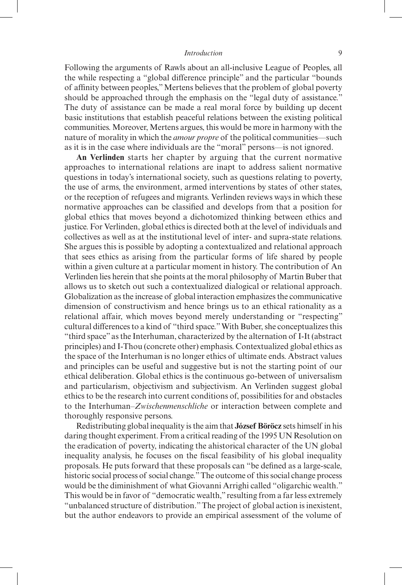Following the arguments of Rawls about an all-inclusive League of Peoples, all the while respecting a "global difference principle" and the particular "bounds of affinity between peoples," Mertens believes that the problem of global poverty should be approached through the emphasis on the "legal duty of assistance." The duty of assistance can be made a real moral force by building up decent basic institutions that establish peaceful relations between the existing political communities. Moreover, Mertens argues, this would be more in harmony with the nature of morality in which the *amour propre* of the political communities—such as it is in the case where individuals are the "moral" persons—is not ignored.

**An Verlinden** starts her chapter by arguing that the current normative approaches to international relations are inapt to address salient normative questions in today's international society, such as questions relating to poverty, the use of arms, the environment, armed interventions by states of other states, or the reception of refugees and migrants. Verlinden reviews ways in which these normative approaches can be classified and develops from that a position for global ethics that moves beyond a dichotomized thinking between ethics and justice. For Verlinden, global ethics is directed both at the level of individuals and collectives as well as at the institutional level of inter- and supra-state relations. She argues this is possible by adopting a contextualized and relational approach that sees ethics as arising from the particular forms of life shared by people within a given culture at a particular moment in history. The contribution of An Verlinden lies herein that she points at the moral philosophy of Martin Buber that allows us to sketch out such a contextualized dialogical or relational approach. Globalization as the increase of global interaction emphasizes the communicative dimension of constructivism and hence brings us to an ethical rationality as a relational affair, which moves beyond merely understanding or "respecting" cultural differences to a kind of "third space." With Buber, she conceptualizes this "third space" as the Interhuman, characterized by the alternation of I-It (abstract principles) and I-Thou (concrete other) emphasis. Contextualized global ethics as the space of the Interhuman is no longer ethics of ultimate ends. Abstract values and principles can be useful and suggestive but is not the starting point of our ethical deliberation. Global ethics is the continuous go-between of universalism and particularism, objectivism and subjectivism. An Verlinden suggest global ethics to be the research into current conditions of, possibilities for and obstacles to the Interhuman–*Zwischenmenschliche* or interaction between complete and thoroughly responsive persons.

Redistributing global inequality is the aim that **József Böröcz** sets himself in his daring thought experiment. From a critical reading of the 1995 UN Resolution on the eradication of poverty, indicating the ahistorical character of the UN global inequality analysis, he focuses on the fiscal feasibility of his global inequality proposals. He puts forward that these proposals can "be defined as a large-scale, historic social process of social change." The outcome of this social change process would be the diminishment of what Giovanni Arrighi called "oligarchic wealth." This would be in favor of "democratic wealth," resulting from a far less extremely "unbalanced structure of distribution." The project of global action is inexistent, but the author endeavors to provide an empirical assessment of the volume of